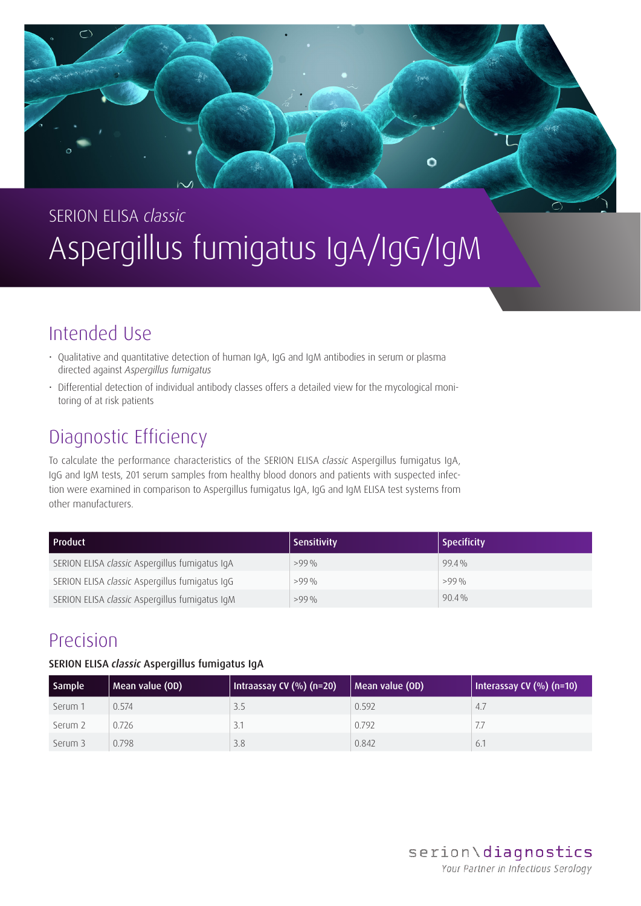

# SERION ELISA *classic* Aspergillus fumigatus IgA/IgG/IgM

### Intended Use

- Qualitative and quantitative detection of human IgA, IgG and IgM antibodies in serum or plasma directed against *Aspergillus fumigatus*
- Differential detection of individual antibody classes offers a detailed view for the mycological monitoring of at risk patients

### Diagnostic Efficiency

To calculate the performance characteristics of the SERION ELISA *classic* Aspergillus fumigatus IgA, IgG and IgM tests, 201 serum samples from healthy blood donors and patients with suspected infection were examined in comparison to Aspergillus fumigatus IgA, IgG and IgM ELISA test systems from other manufacturers.

| l Product                                      | <b>Sensitivity</b> | <b>Specificity</b> |
|------------------------------------------------|--------------------|--------------------|
| SERION ELISA classic Aspergillus fumigatus IgA | $>99\%$            | $99.4\%$           |
| SERION ELISA classic Aspergillus fumigatus IgG | $>99\%$            | >99%               |
| SERION ELISA classic Aspergillus fumigatus IgM | $>99\%$            | $90.4\%$           |

### Precision

### SERION ELISA *classic* Aspergillus fumigatus IgA

| <b>Sample</b> | Mean value (OD) | Intraassay CV $(%)$ (n=20) | Mean value (OD) | Interassay CV $(\%)$ (n=10) |
|---------------|-----------------|----------------------------|-----------------|-----------------------------|
| Serum 1       | 0.574           | 3.5                        | 0.592           | 4.7                         |
| Serum 2       | 0.726           | 3.1                        | 0.792           |                             |
| Serum 3       | 0.798           | 3.8                        | 0.842           | 6.1                         |